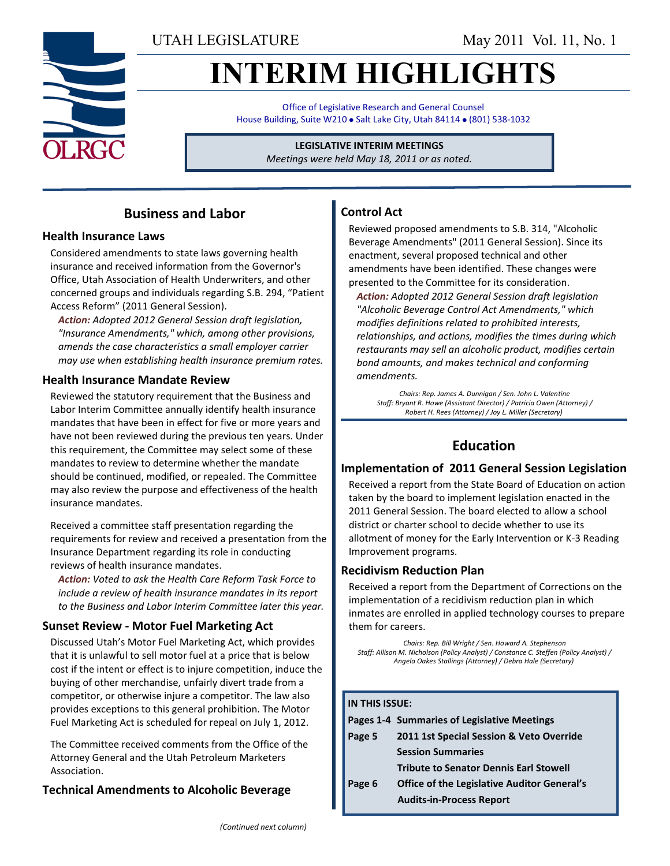UTAH LEGISLATURE May 2011 Vol. 11, No. 1

# **INTERIM HIGHLIGHTS**

Office of Legislative Research and General Counsel House Building, Suite W210 . Salt Lake City, Utah 84114 . (801) 538-1032

> **LEGISLATIVE INTERIM MEETINGS** *Meetings were held May 18, 2011 or as noted.*

## **Business and Labor**

#### **Health Insurance Laws**

Considered amendments to state laws governing health insurance and received information from the Governor's Office, Utah Association of Health Underwriters, and other concerned groups and individuals regarding S.B. 294, "Patient Access Reform" (2011 General Session).

*Action: Adopted 2012 General Session draft legislation, "Insurance Amendments," which, among other provisions, amends the case characteristics a small employer carrier may use when establishing health insurance premium rates.*

#### **Health Insurance Mandate Review**

Reviewed the statutory requirement that the Business and Labor Interim Committee annually identify health insurance mandates that have been in effect for five or more years and have not been reviewed during the previous ten years. Under this requirement, the Committee may select some of these mandates to review to determine whether the mandate should be continued, modified, or repealed. The Committee may also review the purpose and effectiveness of the health insurance mandates.

Received a committee staff presentation regarding the requirements for review and received a presentation from the Insurance Department regarding its role in conducting reviews of health insurance mandates.

*Action: Voted to ask the Health Care Reform Task Force to include a review of health insurance mandates in its report to the Business and Labor Interim Committee later this year.*

## **Sunset Review - Motor Fuel Marketing Act**

Discussed Utah's Motor Fuel Marketing Act, which provides that it is unlawful to sell motor fuel at a price that is below cost if the intent or effect is to injure competition, induce the buying of other merchandise, unfairly divert trade from a competitor, or otherwise injure a competitor. The law also provides exceptions to this general prohibition. The Motor Fuel Marketing Act is scheduled for repeal on July 1, 2012.

The Committee received comments from the Office of the Attorney General and the Utah Petroleum Marketers Association.

## **Technical Amendments to Alcoholic Beverage**

## **Control Act**

Reviewed proposed amendments to S.B. 314, "Alcoholic Beverage Amendments" (2011 General Session). Since its enactment, several proposed technical and other amendments have been identified. These changes were presented to the Committee for its consideration.

*Action: Adopted 2012 General Session draft legislation "Alcoholic Beverage Control Act Amendments," which modifies definitions related to prohibited interests, relationships, and actions, modifies the times during which restaurants may sell an alcoholic product, modifies certain bond amounts, and makes technical and conforming amendments.*

*Chairs: Rep. James A. Dunnigan / Sen. John L. Valentine Staff: Bryant R. Howe (Assistant Director) / Patricia Owen (Attorney) / Robert H. Rees (Attorney) / Joy L. Miller (Secretary)*

## **Education**

#### **Implementation of 2011 General Session Legislation**

Received a report from the State Board of Education on action taken by the board to implement legislation enacted in the 2011 General Session. The board elected to allow a school district or charter school to decide whether to use its allotment of money for the Early Intervention or K-3 Reading Improvement programs.

## **Recidivism Reduction Plan**

Received a report from the Department of Corrections on the implementation of a recidivism reduction plan in which inmates are enrolled in applied technology courses to prepare them for careers.

*Chairs: Rep. Bill Wright / Sen. Howard A. Stephenson Staff: Allison M. Nicholson (Policy Analyst) / Constance C. Steffen (Policy Analyst) / Angela Oakes Stallings (Attorney) / Debra Hale (Secretary)*

#### **IN THIS ISSUE:**

|        | Pages 1-4 Summaries of Legislative Meetings        |
|--------|----------------------------------------------------|
| Page 5 | 2011 1st Special Session & Veto Override           |
|        | <b>Session Summaries</b>                           |
|        | <b>Tribute to Senator Dennis Earl Stowell</b>      |
| Page 6 | <b>Office of the Legislative Auditor General's</b> |

 **Audits-in-Process Report**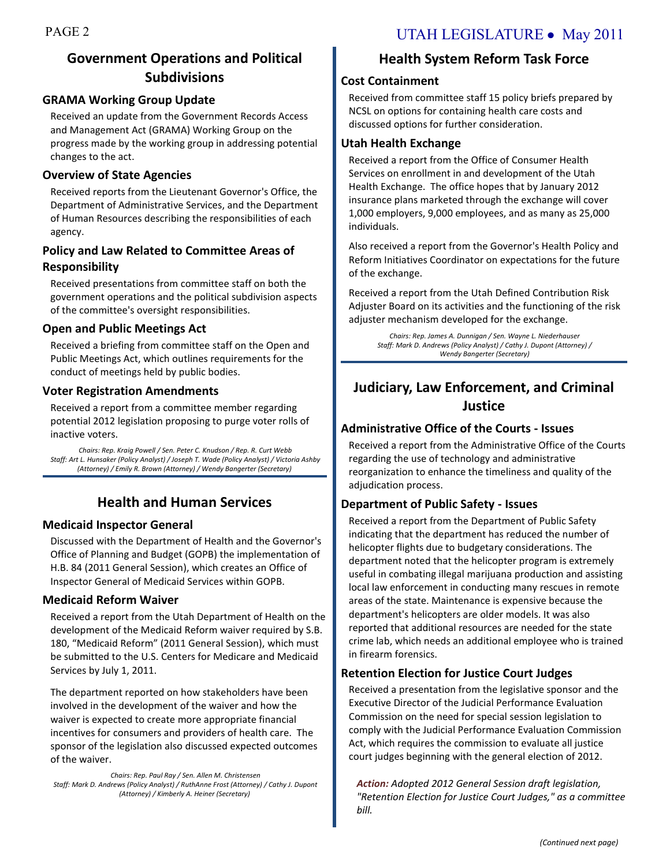## **Government Operations and Political Subdivisions**

#### **GRAMA Working Group Update**

Received an update from the Government Records Access and Management Act (GRAMA) Working Group on the progress made by the working group in addressing potential changes to the act.

## **Overview of State Agencies**

Received reports from the Lieutenant Governor's Office, the Department of Administrative Services, and the Department of Human Resources describing the responsibilities of each agency.

## **Policy and Law Related to Committee Areas of Responsibility**

Received presentations from committee staff on both the government operations and the political subdivision aspects of the committee's oversight responsibilities.

## **Open and Public Meetings Act**

Received a briefing from committee staff on the Open and Public Meetings Act, which outlines requirements for the conduct of meetings held by public bodies.

## **Voter Registration Amendments**

Received a report from a committee member regarding potential 2012 legislation proposing to purge voter rolls of inactive voters.

*Chairs: Rep. Kraig Powell / Sen. Peter C. Knudson / Rep. R. Curt Webb Staff: Art L. Hunsaker (Policy Analyst) / Joseph T. Wade (Policy Analyst) / Victoria Ashby (Attorney) / Emily R. Brown (Attorney) / Wendy Bangerter (Secretary)*

## **Health and Human Services**

## **Medicaid Inspector General**

Discussed with the Department of Health and the Governor's Office of Planning and Budget (GOPB) the implementation of H.B. 84 (2011 General Session), which creates an Office of Inspector General of Medicaid Services within GOPB.

## **Medicaid Reform Waiver**

Received a report from the Utah Department of Health on the development of the Medicaid Reform waiver required by S.B. 180, "Medicaid Reform" (2011 General Session), which must be submitted to the U.S. Centers for Medicare and Medicaid Services by July 1, 2011.

The department reported on how stakeholders have been involved in the development of the waiver and how the waiver is expected to create more appropriate financial incentives for consumers and providers of health care. The sponsor of the legislation also discussed expected outcomes of the waiver.

*Chairs: Rep. Paul Ray / Sen. Allen M. Christensen Staff: Mark D. Andrews (Policy Analyst) / RuthAnne Frost (Attorney) / Cathy J. Dupont (Attorney) / Kimberly A. Heiner (Secretary)*

## **Health System Reform Task Force**

## **Cost Containment**

Received from committee staff 15 policy briefs prepared by NCSL on options for containing health care costs and discussed options for further consideration.

## **Utah Health Exchange**

Received a report from the Office of Consumer Health Services on enrollment in and development of the Utah Health Exchange. The office hopes that by January 2012 insurance plans marketed through the exchange will cover 1,000 employers, 9,000 employees, and as many as 25,000 individuals.

Also received a report from the Governor's Health Policy and Reform Initiatives Coordinator on expectations for the future of the exchange.

Received a report from the Utah Defined Contribution Risk Adjuster Board on its activities and the functioning of the risk adjuster mechanism developed for the exchange.

> *Chairs: Rep. James A. Dunnigan / Sen. Wayne L. Niederhauser Staff: Mark D. Andrews (Policy Analyst) / Cathy J. Dupont (Attorney) / Wendy Bangerter (Secretary)*

## **Judiciary, Law Enforcement, and Criminal Justice**

## **Administrative Office of the Courts - Issues**

Received a report from the Administrative Office of the Courts regarding the use of technology and administrative reorganization to enhance the timeliness and quality of the adjudication process.

## **Department of Public Safety - Issues**

Received a report from the Department of Public Safety indicating that the department has reduced the number of helicopter flights due to budgetary considerations. The department noted that the helicopter program is extremely useful in combating illegal marijuana production and assisting local law enforcement in conducting many rescues in remote areas of the state. Maintenance is expensive because the department's helicopters are older models. It was also reported that additional resources are needed for the state crime lab, which needs an additional employee who is trained in firearm forensics.

## **Retention Election for Justice Court Judges**

Received a presentation from the legislative sponsor and the Executive Director of the Judicial Performance Evaluation Commission on the need for special session legislation to comply with the Judicial Performance Evaluation Commission Act, which requires the commission to evaluate all justice court judges beginning with the general election of 2012.

*Action: Adopted 2012 General Session draft legislation, "Retention Election for Justice Court Judges," as a committee bill.*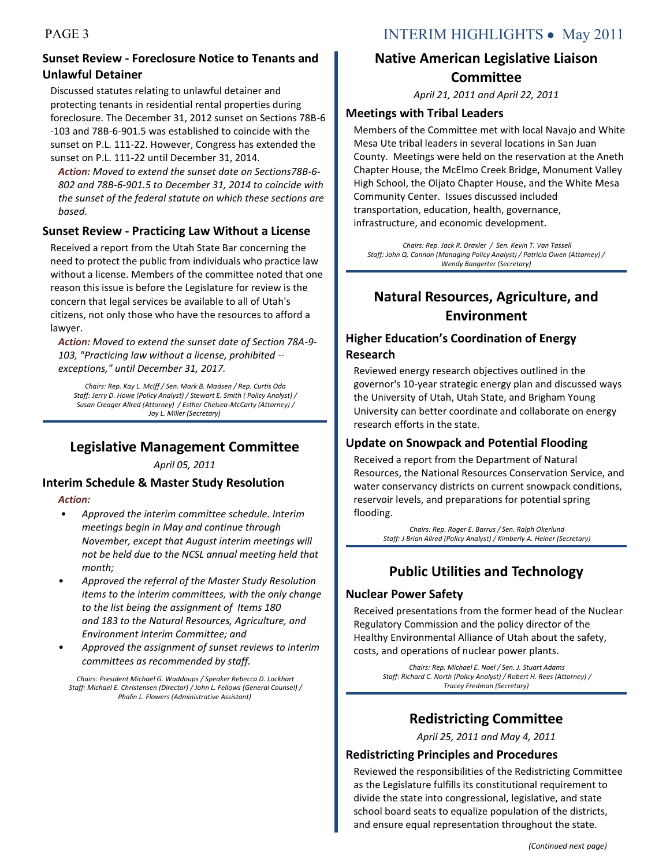## **Sunset Review - Foreclosure Notice to Tenants and Unlawful Detainer**

Discussed statutes relating to unlawful detainer and protecting tenants in residential rental properties during foreclosure. The December 31, 2012 sunset on Sections 78B-6 -103 and 78B-6-901.5 was established to coincide with the sunset on P.L. 111-22. However, Congress has extended the sunset on P.L. 111-22 until December 31, 2014.

*Action: Moved to extend the sunset date on Sections78B-6- 802 and 78B-6-901.5 to December 31, 2014 to coincide with the sunset of the federal statute on which these sections are based.*

#### **Sunset Review - Practicing Law Without a License**

Received a report from the Utah State Bar concerning the need to protect the public from individuals who practice law without a license. Members of the committee noted that one reason this issue is before the Legislature for review is the concern that legal services be available to all of Utah's citizens, not only those who have the resources to afford a lawyer.

*Action: Moved to extend the sunset date of Section 78A-9- 103, "Practicing law without a license, prohibited - exceptions," until December 31, 2017.*

*Chairs: Rep. Kay L. McIff / Sen. Mark B. Madsen / Rep. Curtis Oda Staff: Jerry D. Howe (Policy Analyst) / Stewart E. Smith ( Policy Analyst) / Susan Creager Allred (Attorney) / Esther Chelsea-McCarty (Attorney) / Joy L. Miller (Secretary)*

## **Legislative Management Committee**

*April 05, 2011*

## **Interim Schedule & Master Study Resolution**

*Action:*

- *• Approved the interim committee schedule. Interim meetings begin in May and continue through November, except that August interim meetings will not be held due to the NCSL annual meeting held that month;*
- *• Approved the referral of the Master Study Resolution items to the interim committees, with the only change to the list being the assignment of Items 180 and 183 to the Natural Resources, Agriculture, and Environment Interim Committee; and*
- *• Approved the assignment of sunset reviews to interim committees as recommended by staff.*

*Chairs: President Michael G. Waddoups / Speaker Rebecca D. Lockhart Staff: Michael E. Christensen (Director) / John L. Fellows (General Counsel) / Phalin L. Flowers (Administrative Assistant)*

## **Native American Legislative Liaison Committee**

*April 21, 2011 and April 22, 2011*

## **Meetings with Tribal Leaders**

Members of the Committee met with local Navajo and White Mesa Ute tribal leaders in several locations in San Juan County. Meetings were held on the reservation at the Aneth Chapter House, the McElmo Creek Bridge, Monument Valley High School, the Oljato Chapter House, and the White Mesa Community Center. Issues discussed included transportation, education, health, governance, infrastructure, and economic development.

*Chairs: Rep. Jack R. Draxler / Sen. Kevin T. Van Tassell Staff: John Q. Cannon (Managing Policy Analyst) / Patricia Owen (Attorney) / Wendy Bangerter (Secretary)*

## **Natural Resources, Agriculture, and Environment**

## **Higher Education's Coordination of Energy Research**

Reviewed energy research objectives outlined in the governor's 10-year strategic energy plan and discussed ways the University of Utah, Utah State, and Brigham Young University can better coordinate and collaborate on energy research efforts in the state.

## **Update on Snowpack and Potential Flooding**

Received a report from the Department of Natural Resources, the National Resources Conservation Service, and water conservancy districts on current snowpack conditions, reservoir levels, and preparations for potential spring flooding.

> *Chairs: Rep. Roger E. Barrus / Sen. Ralph Okerlund Staff: J Brian Allred (Policy Analyst) / Kimberly A. Heiner (Secretary)*

## **Public Utilities and Technology**

## **Nuclear Power Safety**

Received presentations from the former head of the Nuclear Regulatory Commission and the policy director of the Healthy Environmental Alliance of Utah about the safety, costs, and operations of nuclear power plants.

> *Chairs: Rep. Michael E. Noel / Sen. J. Stuart Adams Staff: Richard C. North (Policy Analyst) / Robert H. Rees (Attorney) / Tracey Fredman (Secretary)*

## **Redistricting Committee**

*April 25, 2011 and May 4, 2011*

## **Redistricting Principles and Procedures**

Reviewed the responsibilities of the Redistricting Committee as the Legislature fulfills its constitutional requirement to divide the state into congressional, legislative, and state school board seats to equalize population of the districts, and ensure equal representation throughout the state.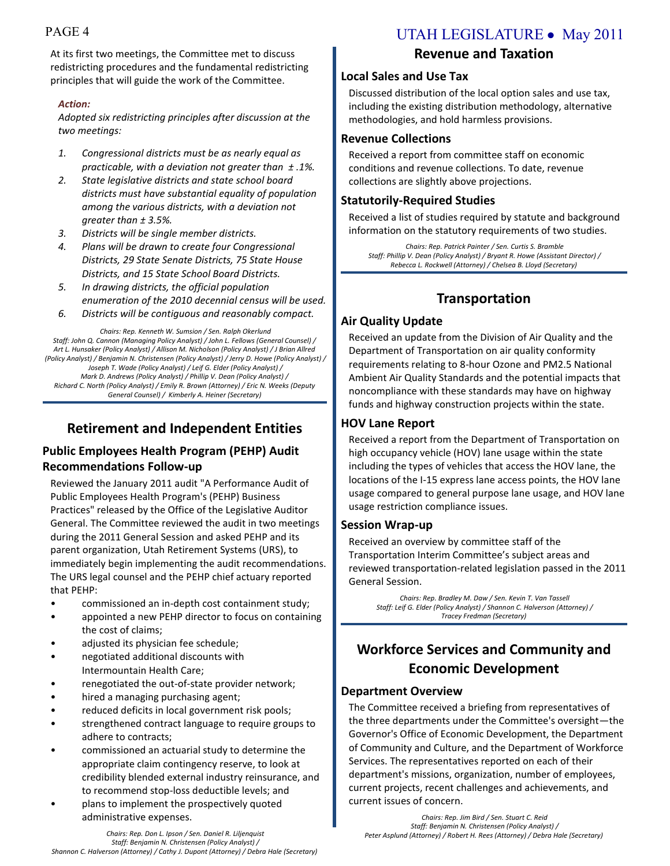At its first two meetings, the Committee met to discuss redistricting procedures and the fundamental redistricting principles that will guide the work of the Committee.

#### *Action:*

*Adopted six redistricting principles after discussion at the two meetings:*

- *1. Congressional districts must be as nearly equal as practicable, with a deviation not greater than ± .1%.*
- *2. State legislative districts and state school board districts must have substantial equality of population among the various districts, with a deviation not greater than ± 3.5%.*
- *3. Districts will be single member districts.*
- *4. Plans will be drawn to create four Congressional Districts, 29 State Senate Districts, 75 State House Districts, and 15 State School Board Districts.*
- *5. In drawing districts, the official population enumeration of the 2010 decennial census will be used.*
- *6. Districts will be contiguous and reasonably compact.*

*Chairs: Rep. Kenneth W. Sumsion / Sen. Ralph Okerlund Staff: John Q. Cannon (Managing Policy Analyst) / John L. Fellows (General Counsel) / Art L. Hunsaker (Policy Analyst) / Allison M. Nicholson (Policy Analyst) / J Brian Allred (Policy Analyst) / Benjamin N. Christensen (Policy Analyst) / Jerry D. Howe (Policy Analyst) / Joseph T. Wade (Policy Analyst) / Leif G. Elder (Policy Analyst) / Mark D. Andrews (Policy Analyst) / Phillip V. Dean (Policy Analyst) / Richard C. North (Policy Analyst) / Emily R. Brown (Attorney) / Eric N. Weeks (Deputy General Counsel) / Kimberly A. Heiner (Secretary)*

## **Retirement and Independent Entities**

## **Public Employees Health Program (PEHP) Audit Recommendations Follow-up**

Reviewed the January 2011 audit "A Performance Audit of Public Employees Health Program's (PEHP) Business Practices" released by the Office of the Legislative Auditor General. The Committee reviewed the audit in two meetings during the 2011 General Session and asked PEHP and its parent organization, Utah Retirement Systems (URS), to immediately begin implementing the audit recommendations. The URS legal counsel and the PEHP chief actuary reported that PEHP:

- commissioned an in-depth cost containment study;
- appointed a new PEHP director to focus on containing the cost of claims;
- adjusted its physician fee schedule;
- negotiated additional discounts with Intermountain Health Care;
- renegotiated the out-of-state provider network;
- hired a managing purchasing agent;
- reduced deficits in local government risk pools;
- strengthened contract language to require groups to adhere to contracts;
- commissioned an actuarial study to determine the appropriate claim contingency reserve, to look at credibility blended external industry reinsurance, and to recommend stop-loss deductible levels; and
- plans to implement the prospectively quoted administrative expenses.

## PAGE 4 UTAH LEGISLATURE • May 2011

## **Revenue and Taxation**

#### **Local Sales and Use Tax**

Discussed distribution of the local option sales and use tax, including the existing distribution methodology, alternative methodologies, and hold harmless provisions.

#### **Revenue Collections**

Received a report from committee staff on economic conditions and revenue collections. To date, revenue collections are slightly above projections.

## **Statutorily-Required Studies**

Received a list of studies required by statute and background information on the statutory requirements of two studies.

*Chairs: Rep. Patrick Painter / Sen. Curtis S. Bramble Staff: Phillip V. Dean (Policy Analyst) / Bryant R. Howe (Assistant Director) / Rebecca L. Rockwell (Attorney) / Chelsea B. Lloyd (Secretary)*

## **Transportation**

## **Air Quality Update**

Received an update from the Division of Air Quality and the Department of Transportation on air quality conformity requirements relating to 8-hour Ozone and PM2.5 National Ambient Air Quality Standards and the potential impacts that noncompliance with these standards may have on highway funds and highway construction projects within the state.

## **HOV Lane Report**

Received a report from the Department of Transportation on high occupancy vehicle (HOV) lane usage within the state including the types of vehicles that access the HOV lane, the locations of the I-15 express lane access points, the HOV lane usage compared to general purpose lane usage, and HOV lane usage restriction compliance issues.

## **Session Wrap-up**

Received an overview by committee staff of the Transportation Interim Committee's subject areas and reviewed transportation-related legislation passed in the 2011 General Session.

*Chairs: Rep. Bradley M. Daw / Sen. Kevin T. Van Tassell Staff: Leif G. Elder (Policy Analyst) / Shannon C. Halverson (Attorney) / Tracey Fredman (Secretary)*

## **Workforce Services and Community and Economic Development**

## **Department Overview**

The Committee received a briefing from representatives of the three departments under the Committee's oversight—the Governor's Office of Economic Development, the Department of Community and Culture, and the Department of Workforce Services. The representatives reported on each of their department's missions, organization, number of employees, current projects, recent challenges and achievements, and current issues of concern.

*Chairs: Rep. Jim Bird / Sen. Stuart C. Reid Staff: Benjamin N. Christensen (Policy Analyst) / Peter Asplund (Attorney) / Robert H. Rees (Attorney) / Debra Hale (Secretary)*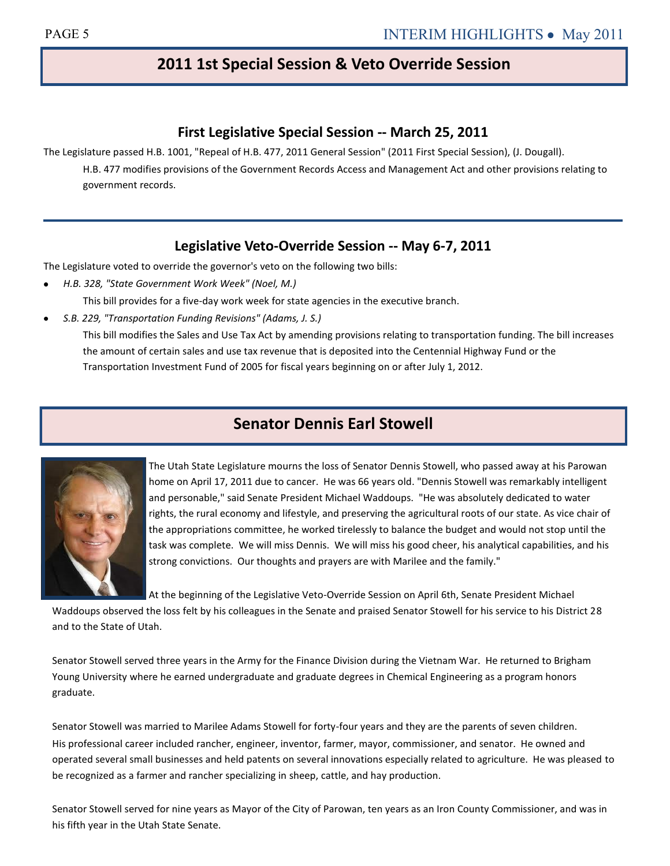## **2011 1st Special Session & Veto Override Session**

## **First Legislative Special Session -- March 25, 2011**

The Legislature passed H.B. 1001, "Repeal of H.B. 477, 2011 General Session" (2011 First Special Session), (J. Dougall).

H.B. 477 modifies provisions of the Government Records Access and Management Act and other provisions relating to government records.

## **Legislative Veto-Override Session -- May 6-7, 2011**

The Legislature voted to override the governor's veto on the following two bills:

- *H.B. 328, "State Government Work Week" (Noel, M.)*  This bill provides for a five-day work week for state agencies in the executive branch.
- *S.B. 229, "Transportation Funding Revisions" (Adams, J. S.)*  This bill modifies the Sales and Use Tax Act by amending provisions relating to transportation funding. The bill increases the amount of certain sales and use tax revenue that is deposited into the Centennial Highway Fund or the Transportation Investment Fund of 2005 for fiscal years beginning on or after July 1, 2012.

## **Senator Dennis Earl Stowell**



The Utah State Legislature mourns the loss of Senator Dennis Stowell, who passed away at his Parowan home on April 17, 2011 due to cancer. He was 66 years old. "Dennis Stowell was remarkably intelligent and personable," said Senate President Michael Waddoups. "He was absolutely dedicated to water rights, the rural economy and lifestyle, and preserving the agricultural roots of our state. As vice chair of the appropriations committee, he worked tirelessly to balance the budget and would not stop until the task was complete. We will miss Dennis. We will miss his good cheer, his analytical capabilities, and his strong convictions. Our thoughts and prayers are with Marilee and the family."

At the beginning of the Legislative Veto-Override Session on April 6th, Senate President Michael

Waddoups observed the loss felt by his colleagues in the Senate and praised Senator Stowell for his service to his District 28 and to the State of Utah.

Senator Stowell served three years in the Army for the Finance Division during the Vietnam War. He returned to Brigham Young University where he earned undergraduate and graduate degrees in Chemical Engineering as a program honors graduate.

Senator Stowell was married to Marilee Adams Stowell for forty-four years and they are the parents of seven children. His professional career included rancher, engineer, inventor, farmer, mayor, commissioner, and senator. He owned and operated several small businesses and held patents on several innovations especially related to agriculture. He was pleased to be recognized as a farmer and rancher specializing in sheep, cattle, and hay production.

Senator Stowell served for nine years as Mayor of the City of Parowan, ten years as an Iron County Commissioner, and was in his fifth year in the Utah State Senate.